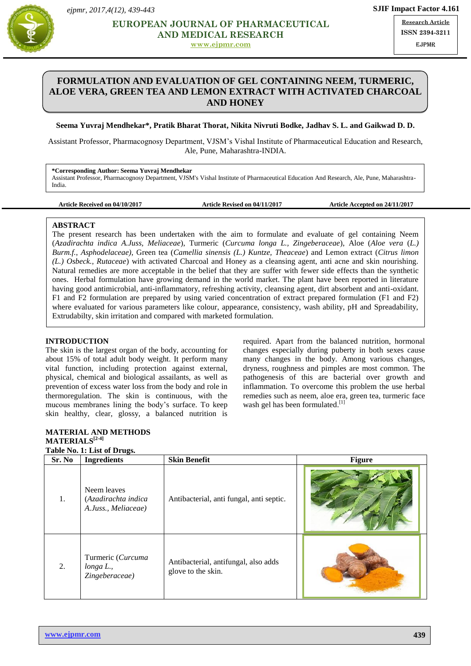



# **MEDICAL RESEARCH ISS EUROPEAN JOURNAL OF PHARMACEUTICAL**

**[www.ejpmr.com](http://www.ejpmr.com/)**

**Research Article ISSN 2394-3211** EJPMR

# **FORMULATION AND EVALUATION OF GEL CONTAINING NEEM, TURMERIC, ALOE VERA, GREEN TEA AND LEMON EXTRACT WITH ACTIVATED CHARCOAL AND HONEY**

**Seema Yuvraj Mendhekar\*, Pratik Bharat Thorat, Nikita Nivruti Bodke, Jadhav S. L. and Gaikwad D. D.**

Assistant Professor, Pharmacognosy Department, VJSM's Vishal Institute of Pharmaceutical Education and Research, Ale, Pune, Maharashtra-INDIA.

**\*Corresponding Author: Seema Yuvraj Mendhekar** Assistant Professor, Pharmacognosy Department, VJSM's Vishal Institute of Pharmaceutical Education And Research, Ale, Pune, Maharashtra-India.

**Article Received on 04/10/2017 Article Revised on 04/11/2017 Article Accepted on 24/11/2017**

## **ABSTRACT**

The present research has been undertaken with the aim to formulate and evaluate of gel containing Neem (*Azadirachta indica A.Juss, Meliaceae*), Turmeric (*Curcuma longa L., Zingeberaceae*), Aloe (*Aloe vera* (*L.) Burm.f.*, *Asphodelaceae)*, Green tea (*Camellia sinensis (L.) Kuntze, Theaceae*) and Lemon extract (*Citrus limon (L.) Osbeck., Rutaceae*) with activated Charcoal and Honey as a cleansing agent, anti acne and skin nourishing. Natural remedies are more acceptable in the belief that they are suffer with fewer side effects than the synthetic ones. Herbal formulation have growing demand in the world market. The plant have been reported in literature having good antimicrobial, anti-inflammatory, refreshing activity, cleansing agent, dirt absorbent and anti-oxidant. F1 and F2 formulation are prepared by using varied concentration of extract prepared formulation (F1 and F2) where evaluated for various parameters like colour, appearance, consistency, wash ability, pH and Spreadability, Extrudabilty, skin irritation and compared with marketed formulation.

## **INTRODUCTION**

The skin is the largest organ of the body, accounting for about 15% of total adult body weight. It perform many vital function, including protection against external, physical, chemical and biological assailants, as well as prevention of excess water loss from the body and role in thermoregulation. The skin is continuous, with the mucous membranes lining the body's surface. To keep skin healthy, clear, glossy, a balanced nutrition is

required. Apart from the balanced nutrition, hormonal changes especially during puberty in both sexes cause many changes in the body. Among various changes, dryness, roughness and pimples are most common. The pathogenesis of this are bacterial over growth and inflammation. To overcome this problem the use herbal remedies such as neem, aloe era, green tea, turmeric face wash gel has been formulated.<sup>[1]</sup> **KEYWARD** Polyherbal aqueous extract, Herbal face wash, Cleansing agent, Dirt absorbent.

# **MATERIAL AND METHODS MATERIALS[2-4]**

|        | Table No. 1: List of Drugs.                               |                                                            |               |  |  |  |
|--------|-----------------------------------------------------------|------------------------------------------------------------|---------------|--|--|--|
| Sr. No | <b>Ingredients</b>                                        | <b>Skin Benefit</b>                                        | <b>Figure</b> |  |  |  |
| 1.     | Neem leaves<br>(Azadirachta indica<br>A.Juss., Meliaceae) | Antibacterial, anti fungal, anti septic.                   |               |  |  |  |
| 2.     | Turmeric (Curcuma<br>$longa L$ .,<br>Zingeberaceae)       | Antibacterial, antifungal, also adds<br>glove to the skin. |               |  |  |  |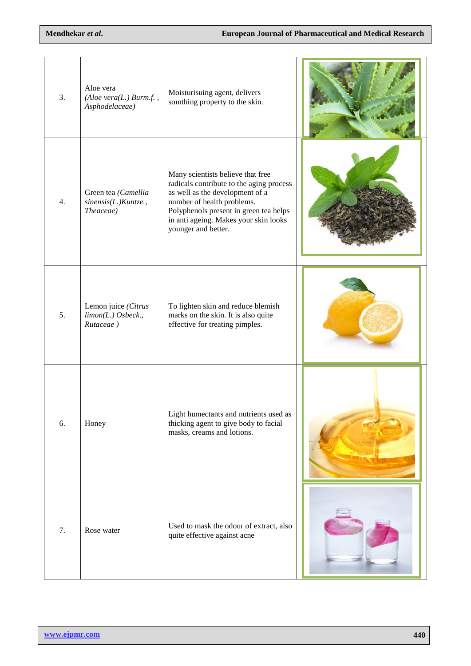| 3.               | Aloe vera<br>$(Aloe \, vera(L.) \, Burn.f. \, ,$<br>Asphodelaceae) | Moisturisuing agent, delivers<br>somthing property to the skin.                                                                                                                                                                                          |  |
|------------------|--------------------------------------------------------------------|----------------------------------------------------------------------------------------------------------------------------------------------------------------------------------------------------------------------------------------------------------|--|
| $\overline{4}$ . | Green tea (Camellia<br>sinensis(L.)Kuntze.,<br>Theaceae)           | Many scientists believe that free<br>radicals contribute to the aging process<br>as well as the development of a<br>number of health problems.<br>Polyphenols present in green tea helps<br>in anti ageing. Makes your skin looks<br>younger and better. |  |
| 5.               | Lemon juice (Citrus<br>$limon(L.)$ Osbeck.,<br>Rutaceae)           | To lighten skin and reduce blemish<br>marks on the skin. It is also quite<br>effective for treating pimples.                                                                                                                                             |  |
| 6.               | Honey                                                              | Light humectants and nutrients used as<br>thicking agent to give body to facial<br>masks, creams and lotions.                                                                                                                                            |  |
| 7.               | Rose water                                                         | Used to mask the odour of extract, also<br>quite effective against acne                                                                                                                                                                                  |  |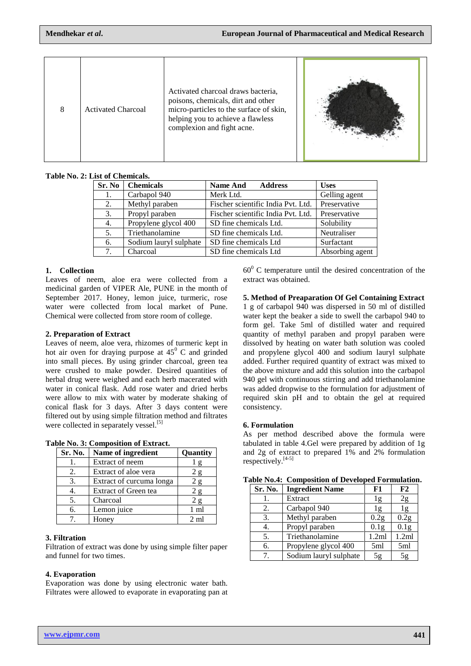| 8 | <b>Activated Charcoal</b> | Activated charcoal draws bacteria,<br>poisons, chemicals, dirt and other<br>micro-particles to the surface of skin,<br>helping you to achieve a flawless<br>complexion and fight acne. |  |
|---|---------------------------|----------------------------------------------------------------------------------------------------------------------------------------------------------------------------------------|--|
|   |                           |                                                                                                                                                                                        |  |

**Table No. 2: List of Chemicals.**

| Sr. No | <b>Chemicals</b>       | <b>Name And</b><br><b>Address</b>  | <b>Uses</b>     |
|--------|------------------------|------------------------------------|-----------------|
| 1.     | Carbapol 940           | Merk Ltd.                          | Gelling agent   |
| 2.     | Methyl paraben         | Fischer scientific India Pvt. Ltd. | Preservative    |
| 3.     | Propyl paraben         | Fischer scientific India Pvt. Ltd. | Preservative    |
| 4.     | Propylene glycol 400   | SD fine chemicals Ltd.             | Solubility      |
| 5.     | Triethanolamine        | SD fine chemicals Ltd.             | Neutraliser     |
| 6.     | Sodium lauryl sulphate | SD fine chemicals Ltd              | Surfactant      |
| 7.     | Charcoal               | SD fine chemicals Ltd              | Absorbing agent |

## **1. Collection**

Leaves of neem, aloe era were collected from a medicinal garden of VIPER Ale, PUNE in the month of September 2017. Honey, lemon juice, turmeric, rose water were collected from local market of Pune. Chemical were collected from store room of college.

## **2. Preparation of Extract**

Leaves of neem, aloe vera, rhizomes of turmeric kept in hot air oven for draying purpose at  $45^{\circ}$  C and grinded into small pieces. By using grinder charcoal, green tea were crushed to make powder. Desired quantities of herbal drug were weighed and each herb macerated with water in conical flask. Add rose water and dried herbs were allow to mix with water by moderate shaking of conical flask for 3 days. After 3 days content were filtered out by using simple filtration method and filtrates were collected in separately vessel.<sup>[5]</sup>

| Sr. No. | Name of ingredient       | Quantity       |
|---------|--------------------------|----------------|
|         | Extract of neem          | $\mathbf{g}$   |
| 2.      | Extract of aloe vera     | 2 g            |
| 3.      | Extract of curcuma longa | 2g             |
| 4.      | Extract of Green tea     | 2g             |
| 5.      | Charcoal                 | 2g             |
| б.      | Lemon juice              | 1 ml           |
|         | Honey                    | $2 \text{ ml}$ |

**Table No. 3: Composition of Extract.**

## **3. Filtration**

Filtration of extract was done by using simple filter paper and funnel for two times.

## **4. Evaporation**

Evaporation was done by using electronic water bath. Filtrates were allowed to evaporate in evaporating pan at  $60^{\circ}$  C temperature until the desired concentration of the extract was obtained.

**5. Method of Preaparation Of Gel Containing Extract** 1 g of carbapol 940 was dispersed in 50 ml of distilled water kept the beaker a side to swell the carbapol 940 to form gel. Take 5ml of distilled water and required quantity of methyl paraben and propyl paraben were dissolved by heating on water bath solution was cooled and propylene glycol 400 and sodium lauryl sulphate added. Further required quantity of extract was mixed to the above mixture and add this solution into the carbapol 940 gel with continuous stirring and add triethanolamine was added dropwise to the formulation for adjustment of required skin pH and to obtain the gel at required consistency.

#### **6. Formulation**

As per method described above the formula were tabulated in table 4.Gel were prepared by addition of 1g and 2g of extract to prepared 1% and 2% formulation respectively.[4-5]

| Sr. No. | <b>Ingredient Name</b> | F1               | F2               |
|---------|------------------------|------------------|------------------|
|         | Extract                | 1g               | 2g               |
| 2.      | Carbapol 940           | lg               | 1g               |
| 3.      | Methyl paraben         | 0.2 <sub>g</sub> | 0.2 <sub>g</sub> |
| 4.      | Propyl paraben         | 0.1 <sub>g</sub> | 0.1 <sub>g</sub> |
| 5.      | Triethanolamine        | 1.2ml            | 1.2ml            |
| 6.      | Propylene glycol 400   | 5ml              | 5ml              |
| 7       | Sodium lauryl sulphate | 5g               | 5g               |

**Table No.4: Composition of Developed Formulation.**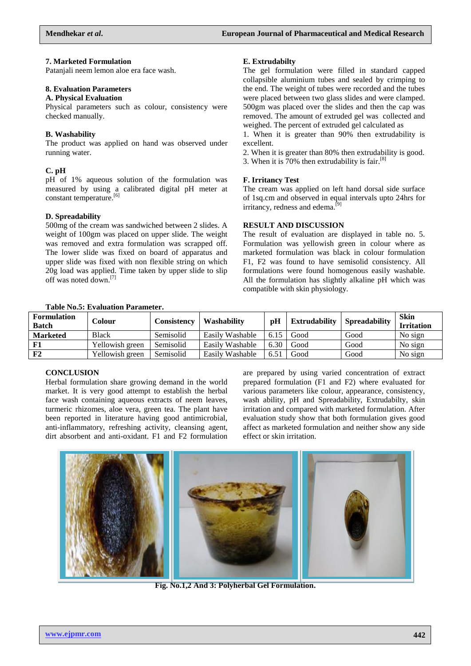### **7. Marketed Formulation**

Patanjali neem lemon aloe era face wash.

### **8. Evaluation Parameters**

#### **A. Physical Evaluation**

Physical parameters such as colour, consistency were checked manually.

### **B. Washability**

The product was applied on hand was observed under running water.

## **C. pH**

pH of 1% aqueous solution of the formulation was measured by using a calibrated digital pH meter at constant temperature.<sup>[6]</sup>

## **D. Spreadability**

500mg of the cream was sandwiched between 2 slides. A weight of 100gm was placed on upper slide. The weight was removed and extra formulation was scrapped off. The lower slide was fixed on board of apparatus and upper slide was fixed with non flexible string on which 20g load was applied. Time taken by upper slide to slip off was noted down. [7]

## **E. Extrudabilty**

The gel formulation were filled in standard capped collapsible aluminium tubes and sealed by crimping to the end. The weight of tubes were recorded and the tubes were placed between two glass slides and were clamped. 500gm was placed over the slides and then the cap was removed. The amount of extruded gel was collected and weighed. The percent of extruded gel calculated as

1. When it is greater than 90% then extrudability is excellent.

2. When it is greater than 80% then extrudability is good.

3. When it is 70% then extrudability is fair. [8]

#### **F. Irritancy Test**

The cream was applied on left hand dorsal side surface of 1sq.cm and observed in equal intervals upto 24hrs for irritancy, redness and edema.<sup>[9]</sup>

#### **RESULT AND DISCUSSION**

The result of evaluation are displayed in table no. 5. Formulation was yellowish green in colour where as marketed formulation was black in colour formulation F1, F2 was found to have semisolid consistency. All formulations were found homogenous easily washable. All the formulation has slightly alkaline pH which was compatible with skin physiology.

| <b>Table No.5: Evaluation Parameter.</b> |  |  |
|------------------------------------------|--|--|
|                                          |  |  |

| <b>Formulation</b><br><b>Batch</b> | Colour          | <b>Consistency</b> | Washability     | pH   | <b>Extrudability</b> | <b>Spreadability</b> | <b>Skin</b><br><b>Irritation</b> |
|------------------------------------|-----------------|--------------------|-----------------|------|----------------------|----------------------|----------------------------------|
| <b>Marketed</b>                    | <b>Black</b>    | Semisolid          | Easily Washable | 6.15 | Good                 | Good                 | No sign                          |
|                                    | Yellowish green | Semisolid          | Easily Washable | 6.30 | Good                 | Good                 | No sign                          |
| F2                                 | Yellowish green | Semisolid          | Easily Washable | 6.51 | Good                 | Good                 | No sign                          |

#### **CONCLUSION**

Herbal formulation share growing demand in the world market. It is very good attempt to establish the herbal face wash containing aqueous extracts of neem leaves, turmeric rhizomes, aloe vera, green tea. The plant have been reported in literature having good antimicrobial, anti-inflammatory, refreshing activity, cleansing agent, dirt absorbent and anti-oxidant. F1 and F2 formulation

are prepared by using varied concentration of extract prepared formulation (F1 and F2) where evaluated for various parameters like colour, appearance, consistency, wash ability, pH and Spreadability, Extrudabilty, skin irritation and compared with marketed formulation. After evaluation study show that both formulation gives good affect as marketed formulation and neither show any side effect or skin irritation.



**Fig. No.1,2 And 3: Polyherbal Gel Formulation.**